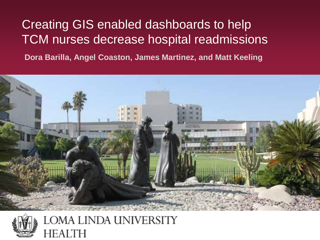### Creating GIS enabled dashboards to help TCM nurses decrease hospital readmissions

**Dora Barilla, Angel Coaston, James Martinez, and Matt Keeling**





LOMA LINDA UNIVERSITY FALTH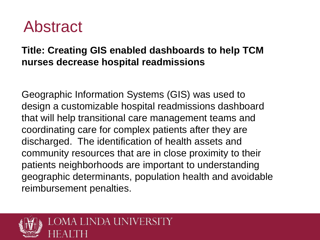# Abstract

#### **Title: Creating GIS enabled dashboards to help TCM nurses decrease hospital readmissions**

Geographic Information Systems (GIS) was used to design a customizable hospital readmissions dashboard that will help transitional care management teams and coordinating care for complex patients after they are discharged. The identification of health assets and community resources that are in close proximity to their patients neighborhoods are important to understanding geographic determinants, population health and avoidable reimbursement penalties.

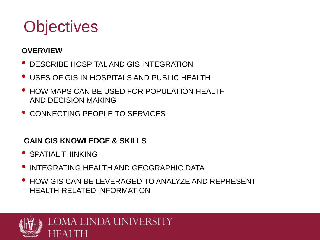# **Objectives**

#### **OVERVIEW**

- DESCRIBE HOSPITAL AND GIS INTEGRATION
- USES OF GIS IN HOSPITALS AND PUBLIC HEALTH
- HOW MAPS CAN BE USED FOR POPULATION HEALTH AND DECISION MAKING
- CONNECTING PEOPLE TO SERVICES

#### **GAIN GIS KNOWLEDGE & SKILLS**

- SPATIAL THINKING
- INTEGRATING HEALTH AND GEOGRAPHIC DATA
- HOW GIS CAN BE LEVERAGED TO ANALYZE AND REPRESENT HEALTH-RELATED INFORMATION

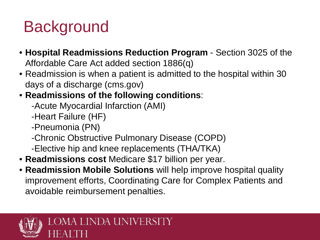# **Background**

- **Hospital Readmissions Reduction Program**  Section 3025 of the Affordable Care Act added section 1886(q)
- Readmission is when a patient is admitted to the hospital within 30 days of a discharge (cms.gov)
- **Readmissions of the following conditions**:
	- -Acute Myocardial Infarction (AMI)
	- -Heart Failure (HF)
	- -Pneumonia (PN)
	- -Chronic Obstructive Pulmonary Disease (COPD)
	- -Elective hip and knee replacements (THA/TKA)
- **Readmissions cost** Medicare \$17 billion per year.
- **Readmission Mobile Solutions** will help improve hospital quality improvement efforts, Coordinating Care for Complex Patients and avoidable reimbursement penalties.

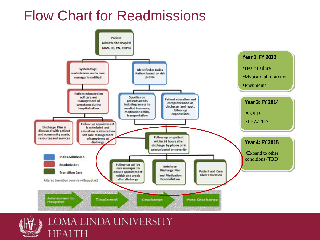### Flow Chart for Readmissions





LOMA LINDA UNIVERSITY FА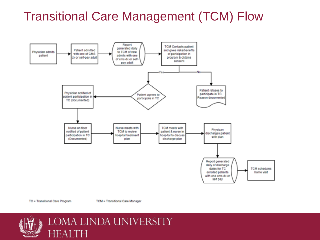### Transitional Care Management (TCM) Flow



TC = Transitional Care Program

TCM = Transitional Care Manager

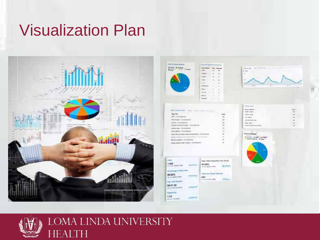# Visualization Plan



|               | $\equiv$ |
|---------------|----------|
|               |          |
| $\rightarrow$ |          |
|               |          |
| ٠             | ٠        |
| ٠             |          |
| ٠             |          |
| ٠             |          |
| ×             | ٠        |
|               |          |
|               |          |
|               |          |



| π |
|---|
|   |
|   |
|   |
|   |
|   |
|   |
|   |

**Hotels** 



Valu Tom Doce: Selecto 437 **ANA** the basic of extendious

sales with PaperVis 1.73 *String Internet* 

89.62%

be no ware

Avg. 1441 Dune 00:01:50



LOMA LINDA UNIVERSITY HEAI TН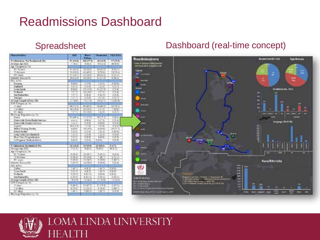### Readmissions Dashboard

| <b>Characterization</b>               | <b>BMI</b>     | literit.<br>Failare | <b>Comment</b> | <b>HISSILIA</b> |
|---------------------------------------|----------------|---------------------|----------------|-----------------|
| <b>N</b> Lincolnian Not Rendmired (%) | 91 (14.9)      | 108 (17.7)          | 4813440        | 12:13.81        |
| Average Age (53)                      | T16L           | $1 + 3 + 3 + 3$     | 91211          | <b>10 (1 年)</b> |
| Apr Category (n. Tul.                 |                |                     |                |                 |
| <b>Distance</b>                       | 计网络图           | <b>LENGER</b>       | <b>BERNEY</b>  | 120917          |
| 75-84 years                           | 13 (58.1)      | 0.1430              | 1,79.69        | 9.31.8          |
| $17 - i$ easy                         | 17 (21.7)      | 11(210)             | 18 (92.0)      | 83491           |
| Massety Race, a Ch.                   | 20 (22.0       | <b>TEGEE</b>        | 11275          | 60829           |
| City with)                            |                |                     |                |                 |
| <b>Bankaloo</b>                       | 616.61         | 117.67              | $1 - 11$       | 11131           |
| <b>Kiddawud</b>                       | 515.51         | 312.91              | 11.51          | 11.75           |
| Loose Landa                           | 1(1.1)         | 19110.05            | 11 (27.5)      | 10.43           |
| Tedants                               | रता            | 1772                | 17.57          | 1541            |
| San TemanSco                          | ten            | \$ (\$ 4)           | 11115          | 2(3.4)          |
| Vocume                                | 10.71          | 3 (3.0)             | 1 C 51         | 1(2.7)          |
| Average Lough of Stay (SD)            | 3.7 (8.8)      | 13-031              | 4.412.73       | 19623           |
| 109 Category (n. 50)                  |                |                     |                |                 |
| C dans                                | 68 (72.5)      | #0180.C1            | 14.000.03      | 28 (78.4)       |
| $7-14$ days:                          | 18127-81       | 291294              | 11.51          | (15.51)         |
| $12 - 4a$ ora                         | TC 21          | 11 (110)            | $1 - 51$       | 1027            |
| Declining Dopowers St. 741            |                |                     |                |                 |
| <b>Kratie</b>                         | <b>Crestin</b> | 1713761             | 37.17          | 1111            |
| Kome with Kocae Health Services       | 4 (4.4)        | 多(感情)               | 10.31          | 2(3.4)          |
| Steels with Steepels Services         | 12231          | 818.93              | 0.15.91        | 0.72(2)         |
| Expend                                | 10 cl 31       | 70.45               | <b>EG 99</b>   | 5.0.95          |
| <b>Willed Number Pacifics</b>         | 主(生ま)          | 9090                | 4.150.05       | 18,79.9         |
| <b>Religio Pardity</b>                | 3(2.3)         | 2.(2.4)             | 16.51          | 3130.21         |
| Long Term Care (Kentred)              | 142.23         | 2(24)               | 11.33          | 0.10            |
| <b>Root Twee Hospitalization</b>      | 3 Q 3)         | 古通街                 | 右段市            | 0.231           |
| Left Against Medical Adviser          | o di lis       | 1.033               | 1930           | 555             |
|                                       |                |                     |                |                 |
| N.Administrati Renderstad (%)         | 精细期            | 19 (59.8)           | $18$ (33.3)    | 3 (3.7)         |
| Al-trapr Airt (55                     | <b>MALI</b>    | 117615              | শ ভ ব          | प्रहा           |
| Apr Category (n. 50)                  |                |                     |                |                 |
| 61.14 years                           | 8.00.0         | 18.195.73           | 2(81.1)        | 0.13.03         |
| 13-64 years                           | $3 - 196$ $9$  | 191218              | 46.71<br>в     | 10221           |
| <b>Briens</b>                         | 11950          | 121345              | 1.000          | 1847)           |
| Haven Tare a [4]                      | <b>TATY</b>    | 11.788              | 1,756          | 5/576           |
| Cey, a this                           |                |                     |                |                 |
| Calles                                | $1.08 - 71$    | 4 (8.2)             | 18.73          | $019 - T1$      |
| Loras Linds                           | 7755           | 4 (8.2)             | $-100 - 71$    | 019.35          |
| $z = h$ an ba                         | 1060           | 10.5                | $0.05 - 0.1$   | 8:05-05         |
| Tare, Them an Girls                   | 7(13.3)        | 6.02.23             | 3181.13        | 1(33.5)         |
| Average Longth of Stay [129]          | ほの町            | (116.2)             | 1.713年         | 7533            |
| LOS Category in "65                   |                |                     |                |                 |
| C days                                | 514501         | 1176537             | <b>Hell</b>    | 1.111           |
| T-1+ days                             | 1.333          | 11/22.4             | 1:20.07        | $2/86 - 7$      |
| $15 - 4449$                           | 18471          |                     |                |                 |
|                                       |                | 2.06.27             | 116.75         | ù (3.31         |
| Declining Disposition (i), 744        |                |                     |                |                 |

#### Spreadsheet Dashboard (real-time concept)





#### LOMA LINDA UNIVERSITY EAITH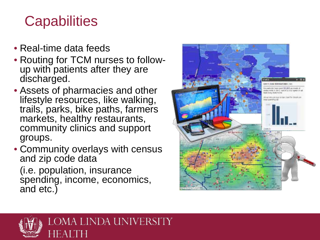# **Capabilities**

- Real-time data feeds
- Routing for TCM nurses to follow-<br>up with patients after they are discharged.
- Assets of pharmacies and other lifestyle resources, like walking, trails, parks, bike paths, farmers markets, healthy restaurants, community clinics and support groups.
- Community overlays with census and zip code data

(i.e. population, insurance spending, income, economics, and etc.)



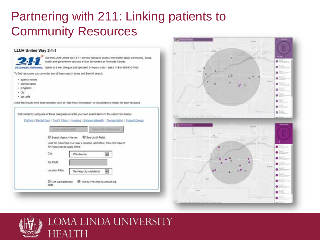### Partnering with 211: Linking patients to Community Resources

#### **LLUH United Way 2-1-1**



Use the LLUM United Way 2-1-1 service lookup to access information about community, social, teath and government cervices in San Eernandine or Riverside Courty

Speak to a live, blimpual call specialist 24 hours a day - dial 2-1-1 or 808-435-75td.

To find resources you can enter any of these search terms and then hit search:

- · agency names
- · service terms
- · programs
- $-$  cty
- $-$  zp code

Once the results have been returned, cick an "Get more information" to see additional deballs for each recource

Get started by using one of these categories or enter your own search terms in the search box better.

Clotting I Dentis Care I East I Cleica I Essaigo I Bibancod Health I Transportation I Support Crooss

| for Resources to apply filters: | Look for resources in or rear a location, add filters, then click Search. |  |
|---------------------------------|---------------------------------------------------------------------------|--|
| Ctr.                            | Minchester                                                                |  |
| Zip Code<br>an an an Anglia (   |                                                                           |  |
| Locaton Filter:                 | Serving city residents                                                    |  |





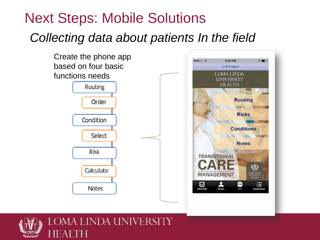# *Collecting data about patients In the field* Next Steps: Mobile Solutions



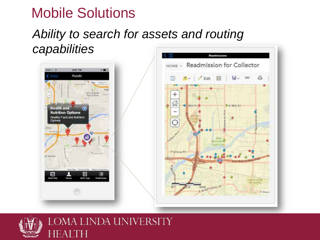# Mobile Solutions

### *Ability to search for assets and routing capabilities*





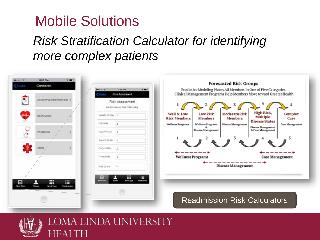## Mobile Solutions

### *Risk Stratification Calculator for identifying more complex patients*

| 3/00 PM<br><b>DEROIL W.</b><br>Conditors<br>ort el | <b>KEE</b>                                    | 3.68.1%<br>Administration<br>$\cdots$                                          | <b>Forecasted Risk Groups</b><br>Predictive Modeling Places All Members In One of Five Categories.        |                                                                          |
|----------------------------------------------------|-----------------------------------------------|--------------------------------------------------------------------------------|-----------------------------------------------------------------------------------------------------------|--------------------------------------------------------------------------|
|                                                    | Acate Myocardial Inforction                   | <b>Risk Asessancet</b><br>Risk Assessment<br><b>Readmission Rek Calculator</b> | Clinical Management Programs Help Members Move toward Greater Health<br>2<br>з                            | 5                                                                        |
| <b>Heart Failure</b>                               |                                               | Leage of the 11                                                                | Well & Low<br><b>Low Risk</b><br><b>Moderate Risk</b><br><b>Risk Members</b><br>Members<br><b>Members</b> | High Risk,<br>Complex<br>Multiple<br>Care<br><b>Disease States</b>       |
| Равигъмы                                           |                                               | <b>ILTI-Vinimi</b><br>idi.<br>Uigent Dale                                      | <b>Disease Management</b><br><b>Wellness Programs</b><br><b>Wellness Programs</b><br>Disease Management   | <b>Case Management</b><br><b>Disease Management</b><br>& Case Management |
| COFO                                               |                                               | Care Process<br>Compétidity                                                    |                                                                                                           |                                                                          |
|                                                    |                                               | Completity                                                                     | --------<br><b>Wellness Programs</b><br>---------                                                         | ------+<br><b>Case Management</b><br>----                                |
|                                                    |                                               | 'n<br>José Store<br>₩<br>Ξ<br>曲                                                | <b>Disease Management</b>                                                                                 |                                                                          |
| ×<br>⊡<br><b>Advis Rod</b><br><b>Not select</b>    | ₩<br>這<br><b>Admit Took</b><br><b>Paulina</b> | <b>STORES</b><br>Albin Type<br>Pastrician<br><b><i><u>Identified</u></i></b>   |                                                                                                           |                                                                          |
|                                                    |                                               |                                                                                | <b>Readmission Risk Calculators</b>                                                                       |                                                                          |



#### LOMA LINDA UNIVERSITY  $\mathsf{F}\mathsf{A}$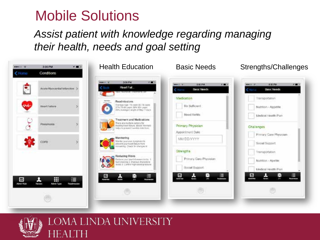## Mobile Solutions

### *Assist patient with knowledge regarding managing their health, needs and goal setting*





#### LOMA LINDA UNIVERSITY EAI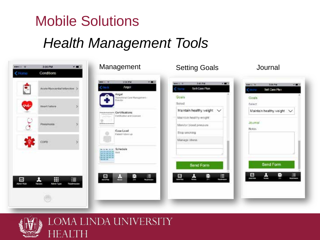# Mobile Solutions *Health Management Tools*

| <b>APROX</b> 19 | 3:00 PM                         | 100         | Management                                                                                            | <b>Setting Goals</b>                                   | Journal                                                               |
|-----------------|---------------------------------|-------------|-------------------------------------------------------------------------------------------------------|--------------------------------------------------------|-----------------------------------------------------------------------|
| <b>NOTTACY</b>  | Conditions                      |             |                                                                                                       |                                                        |                                                                       |
|                 | Acute Myocardal Infanction >    |             | <b>MAGIC</b><br><b>3 DE PM</b><br>3.00<br>C lists<br><b>Angol</b><br>Angel                            | 300 PM<br>Website<br>$+ 200$<br>Sc#Core Plan<br>C Home | <b>CONTRACTOR</b><br>3:08 PM<br><b>WHERE</b><br>マロン<br>Self-Care Plan |
|                 | Heart Failure                   |             | Transferral Core Management-<br>Dieder                                                                | Goals<br>Solod                                         | Goals<br>Select                                                       |
|                 |                                 |             | Certifications<br><b>STATISTICS</b><br>Certification and Licensen                                     | Maintain healthy weight V<br>Maintain healthy weight   | Maintain healthy weight V                                             |
|                 | Personania<br><b>STATISTICS</b> |             | Case Load                                                                                             | Monitor blood pressure                                 | Journal<br>Notas:                                                     |
|                 | COPO                            |             | Patent Folletrich                                                                                     | Stop smoking<br>Manage stress                          |                                                                       |
|                 |                                 |             | » Schedule<br>30 W.W.<br><b>SHOULD SAT</b><br><b><i><b>B</b> B B B</i> B</b><br>長時 連結 油<br>34, 35, 34 | Send Form                                              | Send Form                                                             |
| Δ               | 用<br>×                          | E           | 昷<br>ā,<br>Ű.<br>ш                                                                                    | E<br>H<br>스<br>닖<br><b>Maritim</b>                     | 므<br>스<br>$\equiv$<br>a.<br>ł                                         |
| Admit Right     | Admit Type<br>Neves             | Readmission |                                                                                                       |                                                        |                                                                       |
|                 |                                 |             |                                                                                                       |                                                        |                                                                       |



#### LOMA LINDA UNIVERSITY HEAI